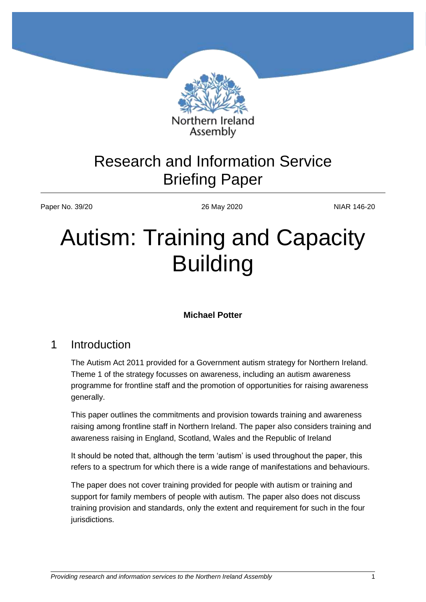

Assembly

## Research and Information Service Briefing Paper

Paper No. 39/20 26 May 2020 26 May 2020

# Autism: Training and Capacity Building

#### **Michael Potter**

## 1 Introduction

The Autism Act 2011 provided for a Government autism strategy for Northern Ireland. Theme 1 of the strategy focusses on awareness, including an autism awareness programme for frontline staff and the promotion of opportunities for raising awareness generally.

This paper outlines the commitments and provision towards training and awareness raising among frontline staff in Northern Ireland. The paper also considers training and awareness raising in England, Scotland, Wales and the Republic of Ireland

It should be noted that, although the term 'autism' is used throughout the paper, this refers to a spectrum for which there is a wide range of manifestations and behaviours.

The paper does not cover training provided for people with autism or training and support for family members of people with autism. The paper also does not discuss training provision and standards, only the extent and requirement for such in the four jurisdictions.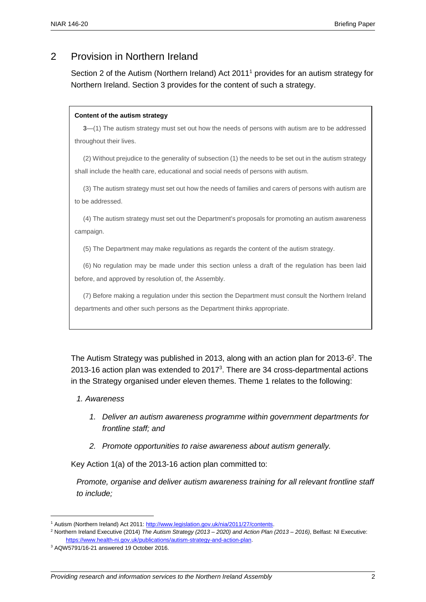## 2 Provision in Northern Ireland

Section 2 of the Autism (Northern Ireland) Act 2011<sup>1</sup> provides for an autism strategy for Northern Ireland. Section 3 provides for the content of such a strategy.

#### **Content of the autism strategy**

**3**—(1) The autism strategy must set out how the needs of persons with autism are to be addressed throughout their lives.

(2) Without prejudice to the generality of subsection (1) the needs to be set out in the autism strategy shall include the health care, educational and social needs of persons with autism.

(3) The autism strategy must set out how the needs of families and carers of persons with autism are to be addressed.

(4) The autism strategy must set out the Department's proposals for promoting an autism awareness campaign.

(5) The Department may make regulations as regards the content of the autism strategy.

(6) No regulation may be made under this section unless a draft of the regulation has been laid before, and approved by resolution of, the Assembly.

(7) Before making a regulation under this section the Department must consult the Northern Ireland departments and other such persons as the Department thinks appropriate.

The Autism Strategy was published in 2013, along with an action plan for 2013-6<sup>2</sup>. The 2013-16 action plan was extended to 2017 $3$ . There are 34 cross-departmental actions in the Strategy organised under eleven themes. Theme 1 relates to the following:

#### *1. Awareness*

- *1. Deliver an autism awareness programme within government departments for frontline staff; and*
- *2. Promote opportunities to raise awareness about autism generally.*

Key Action 1(a) of the 2013-16 action plan committed to:

*Promote, organise and deliver autism awareness training for all relevant frontline staff to include;*

<sup>1</sup> Autism (Northern Ireland) Act 2011: [http://www.legislation.gov.uk/nia/2011/27/contents.](http://www.legislation.gov.uk/nia/2011/27/contents) 

<sup>2</sup> Northern Ireland Executive (2014) *The Autism Strategy (2013 – 2020) and Action Plan (2013 – 2016)*, Belfast: NI Executive: [https://www.health-ni.gov.uk/publications/autism-strategy-and-action-plan.](https://www.health-ni.gov.uk/publications/autism-strategy-and-action-plan) 

<sup>3</sup> AQW5791/16-21 answered 19 October 2016.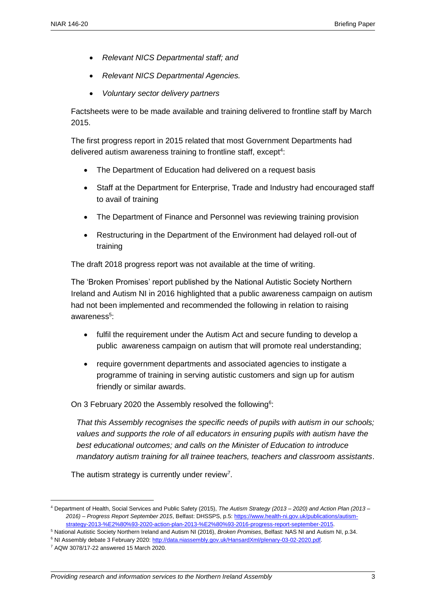- *Relevant NICS Departmental staff; and*
- *Relevant NICS Departmental Agencies.*
- *Voluntary sector delivery partners*

Factsheets were to be made available and training delivered to frontline staff by March 2015.

The first progress report in 2015 related that most Government Departments had delivered autism awareness training to frontline staff, except<sup>4</sup>:

- The Department of Education had delivered on a request basis
- Staff at the Department for Enterprise, Trade and Industry had encouraged staff to avail of training
- The Department of Finance and Personnel was reviewing training provision
- Restructuring in the Department of the Environment had delayed roll-out of training

The draft 2018 progress report was not available at the time of writing.

The 'Broken Promises' report published by the National Autistic Society Northern Ireland and Autism NI in 2016 highlighted that a public awareness campaign on autism had not been implemented and recommended the following in relation to raising awareness<sup>5</sup>:

- fulfil the requirement under the Autism Act and secure funding to develop a public awareness campaign on autism that will promote real understanding;
- require government departments and associated agencies to instigate a programme of training in serving autistic customers and sign up for autism friendly or similar awards.

On 3 February 2020 the Assembly resolved the following<sup>6</sup>:

*That this Assembly recognises the specific needs of pupils with autism in our schools; values and supports the role of all educators in ensuring pupils with autism have the best educational outcomes; and calls on the Minister of Education to introduce mandatory autism training for all trainee teachers, teachers and classroom assistants*.

The autism strategy is currently under review<sup>7</sup>.

<sup>4</sup> Department of Health, Social Services and Public Safety (2015), *The Autism Strategy (2013 – 2020) and Action Plan (2013 – 2016) – Progress Report September 2015*, Belfast: DHSSPS, p.5[: https://www.health-ni.gov.uk/publications/autism](https://www.health-ni.gov.uk/publications/autism-strategy-2013-%E2%80%93-2020-action-plan-2013-%E2%80%93-2016-progress-report-september-2015)[strategy-2013-%E2%80%93-2020-action-plan-2013-%E2%80%93-2016-progress-report-september-2015.](https://www.health-ni.gov.uk/publications/autism-strategy-2013-%E2%80%93-2020-action-plan-2013-%E2%80%93-2016-progress-report-september-2015)

<sup>5</sup> National Autistic Society Northern Ireland and Autism NI (2016), *Broken Promises*, Belfast: NAS NI and Autism NI, p.34.

<sup>6</sup> NI Assembly debate 3 February 2020: [http://data.niassembly.gov.uk/HansardXml/plenary-03-02-2020.pdf.](http://data.niassembly.gov.uk/HansardXml/plenary-03-02-2020.pdf)

<sup>7</sup> AQW 3078/17-22 answered 15 March 2020.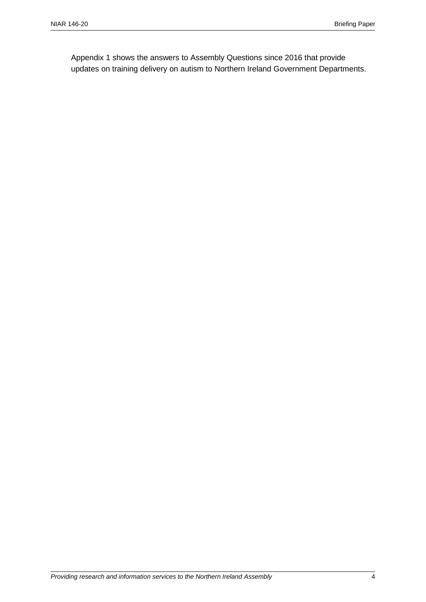Appendix 1 shows the answers to Assembly Questions since 2016 that provide updates on training delivery on autism to Northern Ireland Government Departments.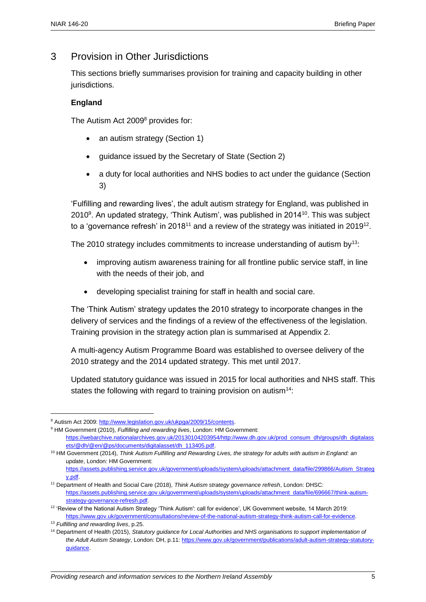## 3 Provision in Other Jurisdictions

This sections briefly summarises provision for training and capacity building in other jurisdictions.

#### **England**

The Autism Act 2009<sup>8</sup> provides for:

- an autism strategy (Section 1)
- quidance issued by the Secretary of State (Section 2)
- a duty for local authorities and NHS bodies to act under the guidance (Section 3)

'Fulfilling and rewarding lives', the adult autism strategy for England, was published in 2010<sup>9</sup>. An updated strategy, 'Think Autism', was published in 2014<sup>10</sup>. This was subject to a 'governance refresh' in 2018<sup>11</sup> and a review of the strategy was initiated in 2019<sup>12</sup>.

The 2010 strategy includes commitments to increase understanding of autism by<sup>13</sup>:

- improving autism awareness training for all frontline public service staff, in line with the needs of their job, and
- developing specialist training for staff in health and social care.

The 'Think Autism' strategy updates the 2010 strategy to incorporate changes in the delivery of services and the findings of a review of the effectiveness of the legislation. Training provision in the strategy action plan is summarised at Appendix 2.

A multi-agency Autism Programme Board was established to oversee delivery of the 2010 strategy and the 2014 updated strategy. This met until 2017.

Updated statutory guidance was issued in 2015 for local authorities and NHS staff. This states the following with regard to training provision on autism<sup>14</sup>:

[https://assets.publishing.service.gov.uk/government/uploads/system/uploads/attachment\\_data/file/299866/Autism\\_Strateg](https://assets.publishing.service.gov.uk/government/uploads/system/uploads/attachment_data/file/299866/Autism_Strategy.pdf) [y.pdf.](https://assets.publishing.service.gov.uk/government/uploads/system/uploads/attachment_data/file/299866/Autism_Strategy.pdf) 

<sup>8</sup> Autism Act 2009[: http://www.legislation.gov.uk/ukpga/2009/15/contents.](http://www.legislation.gov.uk/ukpga/2009/15/contents)

<sup>9</sup> HM Government (2010), *Fulfilling and rewarding lives*, London: HM Government: [https://webarchive.nationalarchives.gov.uk/20130104203954/http://www.dh.gov.uk/prod\\_consum\\_dh/groups/dh\\_digitalass](https://webarchive.nationalarchives.gov.uk/20130104203954/http:/www.dh.gov.uk/prod_consum_dh/groups/dh_digitalassets/@dh/@en/@ps/documents/digitalasset/dh_113405.pdf) [ets/@dh/@en/@ps/documents/digitalasset/dh\\_113405.pdf.](https://webarchive.nationalarchives.gov.uk/20130104203954/http:/www.dh.gov.uk/prod_consum_dh/groups/dh_digitalassets/@dh/@en/@ps/documents/digitalasset/dh_113405.pdf) 

<sup>10</sup> HM Government (2014), *Think Autism Fulfilling and Rewarding Lives, the strategy for adults with autism in England: an update*, London: HM Government:

<sup>11</sup> Department of Health and Social Care (2018), *Think Autism strategy governance refresh*, London: DHSC: [https://assets.publishing.service.gov.uk/government/uploads/system/uploads/attachment\\_data/file/696667/think-autism](https://assets.publishing.service.gov.uk/government/uploads/system/uploads/attachment_data/file/696667/think-autism-strategy-governance-refresh.pdf)[strategy-governance-refresh.pdf.](https://assets.publishing.service.gov.uk/government/uploads/system/uploads/attachment_data/file/696667/think-autism-strategy-governance-refresh.pdf)

<sup>12</sup> 'Review of the National Autism Strategy 'Think Autism': call for evidence', UK Government website, 14 March 2019: [https://www.gov.uk/government/consultations/review-of-the-national-autism-strategy-think-autism-call-for-evidence.](https://www.gov.uk/government/consultations/review-of-the-national-autism-strategy-think-autism-call-for-evidence) 

<sup>13</sup> *Fulfilling and rewarding lives*, p.25.

<sup>14</sup> Department of Health (2015), *Statutory guidance for Local Authorities and NHS organisations to support implementation of the Adult Autism Strategy*, London: DH, p.11: [https://www.gov.uk/government/publications/adult-autism-strategy-statutory](https://www.gov.uk/government/publications/adult-autism-strategy-statutory-guidance)[guidance.](https://www.gov.uk/government/publications/adult-autism-strategy-statutory-guidance)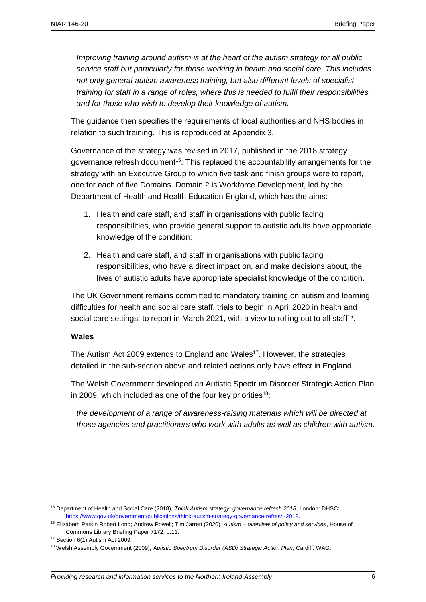*Improving training around autism is at the heart of the autism strategy for all public service staff but particularly for those working in health and social care. This includes not only general autism awareness training, but also different levels of specialist training for staff in a range of roles, where this is needed to fulfil their responsibilities and for those who wish to develop their knowledge of autism.*

The guidance then specifies the requirements of local authorities and NHS bodies in relation to such training. This is reproduced at Appendix 3.

Governance of the strategy was revised in 2017, published in the 2018 strategy governance refresh document<sup>15</sup>. This replaced the accountability arrangements for the strategy with an Executive Group to which five task and finish groups were to report, one for each of five Domains. Domain 2 is Workforce Development, led by the Department of Health and Health Education England, which has the aims:

- 1. Health and care staff, and staff in organisations with public facing responsibilities, who provide general support to autistic adults have appropriate knowledge of the condition;
- 2. Health and care staff, and staff in organisations with public facing responsibilities, who have a direct impact on, and make decisions about, the lives of autistic adults have appropriate specialist knowledge of the condition.

The UK Government remains committed to mandatory training on autism and learning difficulties for health and social care staff, trials to begin in April 2020 in health and social care settings, to report in March 2021, with a view to rolling out to all staff<sup>16</sup>.

#### **Wales**

The Autism Act 2009 extends to England and Wales<sup>17</sup>. However, the strategies detailed in the sub-section above and related actions only have effect in England.

The Welsh Government developed an Autistic Spectrum Disorder Strategic Action Plan in 2009, which included as one of the four key priorities<sup>18</sup>:

*the development of a range of awareness-raising materials which will be directed at those agencies and practitioners who work with adults as well as children with autism*.

<sup>15</sup> Department of Health and Social Care (2018), *Think Autism strategy: governance refresh 2018*, London: DHSC: [https://www.gov.uk/government/publications/think-autism-strategy-governance-refresh-2018.](https://www.gov.uk/government/publications/think-autism-strategy-governance-refresh-2018)

<sup>16</sup> Elizabeth Parkin Robert Long; Andrew Powell; Tim Jarrett (2020), *Autism – overview of policy and services*, House of Commons Library Briefing Paper 7172, p.11.

<sup>&</sup>lt;sup>17</sup> Section 6(1) Autism Act 2009.

<sup>18</sup> Welsh Assembly Government (2009), *Autistic Spectrum Disorder (ASD) Strategic Action Plan*, Cardiff: WAG.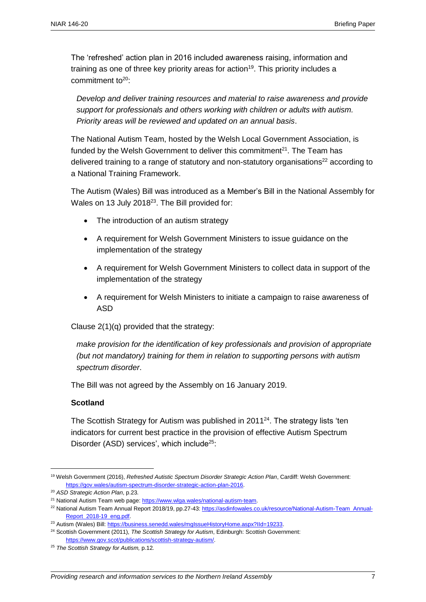The 'refreshed' action plan in 2016 included awareness raising, information and training as one of three key priority areas for action<sup>19</sup>. This priority includes a commitment to $20$ :

*Develop and deliver training resources and material to raise awareness and provide support for professionals and others working with children or adults with autism. Priority areas will be reviewed and updated on an annual basis*.

The National Autism Team, hosted by the Welsh Local Government Association, is funded by the Welsh Government to deliver this commitment $21$ . The Team has delivered training to a range of statutory and non-statutory organisations<sup>22</sup> according to a National Training Framework.

The Autism (Wales) Bill was introduced as a Member's Bill in the National Assembly for Wales on 13 July 2018<sup>23</sup>. The Bill provided for:

- The introduction of an autism strategy
- A requirement for Welsh Government Ministers to issue guidance on the implementation of the strategy
- A requirement for Welsh Government Ministers to collect data in support of the implementation of the strategy
- A requirement for Welsh Ministers to initiate a campaign to raise awareness of ASD

Clause 2(1)(q) provided that the strategy:

*make provision for the identification of key professionals and provision of appropriate (but not mandatory) training for them in relation to supporting persons with autism spectrum disorder*.

The Bill was not agreed by the Assembly on 16 January 2019.

#### **Scotland**

The Scottish Strategy for Autism was published in  $2011^{24}$ . The strategy lists 'ten indicators for current best practice in the provision of effective Autism Spectrum Disorder (ASD) services', which include<sup>25</sup>:

<sup>19</sup> Welsh Government (2016), *Refreshed Autistic Spectrum Disorder Strategic Action Plan*, Cardiff: Welsh Government: [https://gov.wales/autism-spectrum-disorder-strategic-action-plan-2016.](https://gov.wales/autism-spectrum-disorder-strategic-action-plan-2016)

<sup>20</sup> *ASD Strategic Action Plan*, p.23.

<sup>&</sup>lt;sup>21</sup> National Autism Team web page: https://www.wlga.wales/national-autism-team.

<sup>22</sup> National Autism Team Annual Report 2018/19, pp.27-43[: https://asdinfowales.co.uk/resource/National-Autism-Team\\_Annual-](https://asdinfowales.co.uk/resource/National-Autism-Team_Annual-Report_2018-19_eng.pdf)[Report\\_2018-19\\_eng.pdf.](https://asdinfowales.co.uk/resource/National-Autism-Team_Annual-Report_2018-19_eng.pdf)

<sup>23</sup> Autism (Wales) Bill[: https://business.senedd.wales/mgIssueHistoryHome.aspx?IId=19233.](https://business.senedd.wales/mgIssueHistoryHome.aspx?IId=19233)

<sup>24</sup> Scottish Government (2011), *The Scottish Strategy for Autism*, Edinburgh: Scottish Government: [https://www.gov.scot/publications/scottish-strategy-autism/.](https://www.gov.scot/publications/scottish-strategy-autism/)

<sup>25</sup> *The Scottish Strategy for Autism,* p.12*.*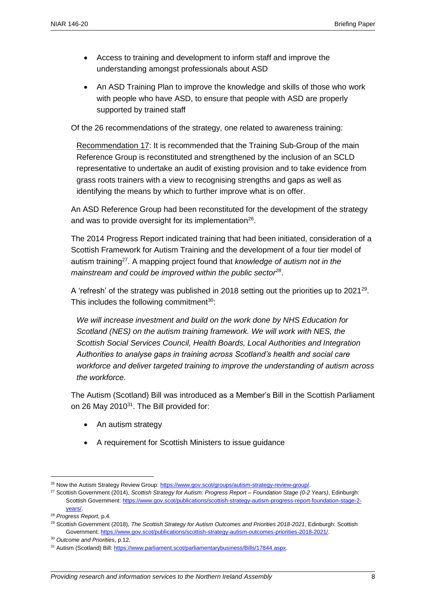- Access to training and development to inform staff and improve the understanding amongst professionals about ASD
- An ASD Training Plan to improve the knowledge and skills of those who work with people who have ASD, to ensure that people with ASD are properly supported by trained staff

Of the 26 recommendations of the strategy, one related to awareness training:

Recommendation 17: It is recommended that the Training Sub-Group of the main Reference Group is reconstituted and strengthened by the inclusion of an SCLD representative to undertake an audit of existing provision and to take evidence from grass roots trainers with a view to recognising strengths and gaps as well as identifying the means by which to further improve what is on offer.

An ASD Reference Group had been reconstituted for the development of the strategy and was to provide oversight for its implementation<sup>26</sup>.

The 2014 Progress Report indicated training that had been initiated, consideration of a Scottish Framework for Autism Training and the development of a four tier model of autism training<sup>27</sup> . A mapping project found that *knowledge of autism not in the mainstream and could be improved within the public sector<sup>28</sup>* .

A 'refresh' of the strategy was published in 2018 setting out the priorities up to  $2021^{29}$ . This includes the following commitment $30$ :

*We will increase investment and build on the work done by NHS Education for Scotland (NES) on the autism training framework. We will work with NES, the Scottish Social Services Council, Health Boards, Local Authorities and Integration Authorities to analyse gaps in training across Scotland's health and social care workforce and deliver targeted training to improve the understanding of autism across the workforce.*

The Autism (Scotland) Bill was introduced as a Member's Bill in the Scottish Parliament on 26 May 2010<sup>31</sup>. The Bill provided for:

- An autism strategy
- A requirement for Scottish Ministers to issue guidance

<sup>&</sup>lt;sup>26</sup> Now the Autism Strategy Review Group: [https://www.gov.scot/groups/autism-strategy-review-group/.](https://www.gov.scot/groups/autism-strategy-review-group/)

<sup>27</sup> Scottish Government (2014), *Scottish Strategy for Autism: Progress Report – Foundation Stage (0-2 Years)*, Edinburgh: Scottish Government[: https://www.gov.scot/publications/scottish-strategy-autism-progress-report-foundation-stage-2](https://www.gov.scot/publications/scottish-strategy-autism-progress-report-foundation-stage-2-years/) [years/.](https://www.gov.scot/publications/scottish-strategy-autism-progress-report-foundation-stage-2-years/)

<sup>28</sup> *Progress Report*, p.4.

<sup>29</sup> Scottish Government (2018), *The Scottish Strategy for Autism Outcomes and Priorities 2018-2021*, Edinburgh: Scottish Government: [https://www.gov.scot/publications/scottish-strategy-autism-outcomes-priorities-2018-2021/.](https://www.gov.scot/publications/scottish-strategy-autism-outcomes-priorities-2018-2021/) 

<sup>30</sup> *Outcome and Priorities*, p.12.

<sup>31</sup> Autism (Scotland) Bill: [https://www.parliament.scot/parliamentarybusiness/Bills/17844.aspx.](https://www.parliament.scot/parliamentarybusiness/Bills/17844.aspx)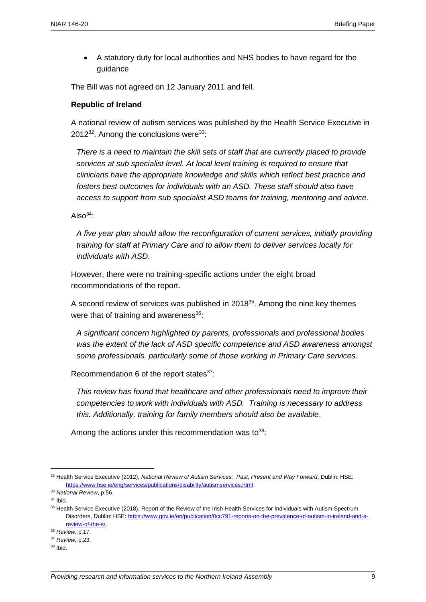A statutory duty for local authorities and NHS bodies to have regard for the guidance

The Bill was not agreed on 12 January 2011 and fell.

#### **Republic of Ireland**

A national review of autism services was published by the Health Service Executive in 2012 $32$ . Among the conclusions were  $33$ :

*There is a need to maintain the skill sets of staff that are currently placed to provide services at sub specialist level. At local level training is required to ensure that clinicians have the appropriate knowledge and skills which reflect best practice and fosters best outcomes for individuals with an ASD. These staff should also have access to support from sub specialist ASD teams for training, mentoring and advice*.

Also $34$ :

*A five year plan should allow the reconfiguration of current services, initially providing training for staff at Primary Care and to allow them to deliver services locally for individuals with ASD*.

However, there were no training-specific actions under the eight broad recommendations of the report.

A second review of services was published in  $2018^{35}$ . Among the nine key themes were that of training and awareness $36$ :

*A significant concern highlighted by parents, professionals and professional bodies was the extent of the lack of ASD specific competence and ASD awareness amongst some professionals, particularly some of those working in Primary Care services*.

Recommendation 6 of the report states $37$ :

*This review has found that healthcare and other professionals need to improve their competencies to work with individuals with ASD. Training is necessary to address this. Additionally, training for family members should also be available*.

Among the actions under this recommendation was to $38$ :

<sup>32</sup> Health Service Executive (2012), *National Review of Autism Services: Past, Present and Way Forward*, Dublin: HSE: [https://www.hse.ie/eng/services/publications/disability/autismservices.html.](https://www.hse.ie/eng/services/publications/disability/autismservices.html)

<sup>33</sup> *National Review*, p.56.

<sup>34</sup> Ibid.

<sup>35</sup> Health Service Executive (2018), Report of the Review of the Irish Health Services for Individuals with Autism Spectrum Disorders, Dublin: HSE: [https://www.gov.ie/en/publication/0cc791-reports-on-the-prevalence-of-autism-in-ireland-and-a](https://www.gov.ie/en/publication/0cc791-reports-on-the-prevalence-of-autism-in-ireland-and-a-review-of-the-s/)[review-of-the-s/.](https://www.gov.ie/en/publication/0cc791-reports-on-the-prevalence-of-autism-in-ireland-and-a-review-of-the-s/) 

<sup>36</sup> *Review*, p.17.

<sup>37</sup> *Review,* p.23.

 $38$  Ibid.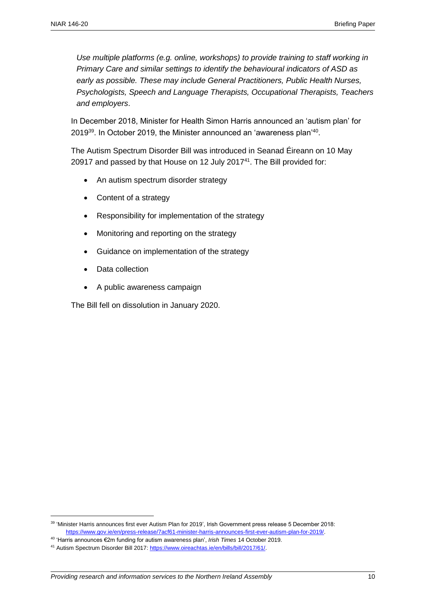*Use multiple platforms (e.g. online, workshops) to provide training to staff working in Primary Care and similar settings to identify the behavioural indicators of ASD as early as possible. These may include General Practitioners, Public Health Nurses, Psychologists, Speech and Language Therapists, Occupational Therapists, Teachers and employers*.

In December 2018, Minister for Health Simon Harris announced an 'autism plan' for 2019 $^{39}$ . In October 2019, the Minister announced an 'awareness plan' $^{40}$ .

The Autism Spectrum Disorder Bill was introduced in Seanad Éireann on 10 May 20917 and passed by that House on 12 July 2017<sup>41</sup>. The Bill provided for:

- An autism spectrum disorder strategy
- Content of a strategy
- Responsibility for implementation of the strategy
- Monitoring and reporting on the strategy
- Guidance on implementation of the strategy
- Data collection

 $\overline{a}$ 

A public awareness campaign

The Bill fell on dissolution in January 2020.

<sup>39</sup> 'Minister Harris announces first ever Autism Plan for 2019', Irish Government press release 5 December 2018: [https://www.gov.ie/en/press-release/7acf61-minister-harris-announces-first-ever-autism-plan-for-2019/.](https://www.gov.ie/en/press-release/7acf61-minister-harris-announces-first-ever-autism-plan-for-2019/)

<sup>40</sup> 'Harris announces €2m funding for autism awareness plan', *Irish Times* 14 October 2019.

<sup>41</sup> Autism Spectrum Disorder Bill 2017[: https://www.oireachtas.ie/en/bills/bill/2017/61/.](https://www.oireachtas.ie/en/bills/bill/2017/61/)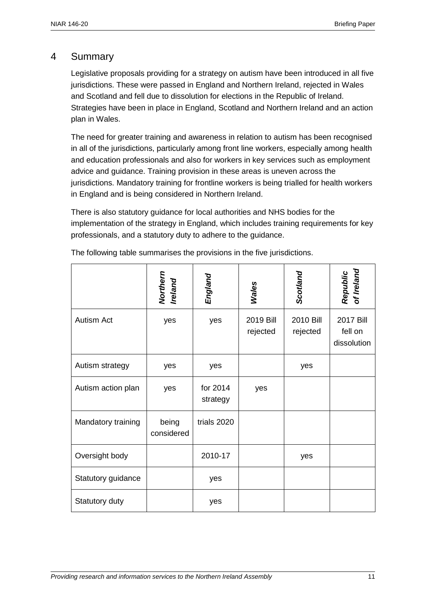### 4 Summary

Legislative proposals providing for a strategy on autism have been introduced in all five jurisdictions. These were passed in England and Northern Ireland, rejected in Wales and Scotland and fell due to dissolution for elections in the Republic of Ireland. Strategies have been in place in England, Scotland and Northern Ireland and an action plan in Wales.

The need for greater training and awareness in relation to autism has been recognised in all of the jurisdictions, particularly among front line workers, especially among health and education professionals and also for workers in key services such as employment advice and guidance. Training provision in these areas is uneven across the jurisdictions. Mandatory training for frontline workers is being trialled for health workers in England and is being considered in Northern Ireland.

There is also statutory guidance for local authorities and NHS bodies for the implementation of the strategy in England, which includes training requirements for key professionals, and a statutory duty to adhere to the guidance.

|                    | Northern<br>Ireland | England              | <b>Wales</b>          | Scotland              | Republic<br>of Ireland              |
|--------------------|---------------------|----------------------|-----------------------|-----------------------|-------------------------------------|
| Autism Act         | yes                 | yes                  | 2019 Bill<br>rejected | 2010 Bill<br>rejected | 2017 Bill<br>fell on<br>dissolution |
| Autism strategy    | yes                 | yes                  |                       | yes                   |                                     |
| Autism action plan | yes                 | for 2014<br>strategy | yes                   |                       |                                     |
| Mandatory training | being<br>considered | trials 2020          |                       |                       |                                     |
| Oversight body     |                     | 2010-17              |                       | yes                   |                                     |
| Statutory guidance |                     | yes                  |                       |                       |                                     |
| Statutory duty     |                     | yes                  |                       |                       |                                     |

The following table summarises the provisions in the five jurisdictions.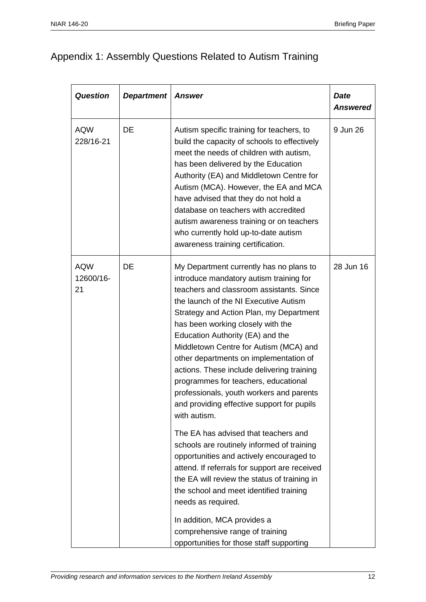## Appendix 1: Assembly Questions Related to Autism Training

| <b>Question</b>               | <b>Department</b> | <b>Answer</b>                                                                                                                                                                                                                                                                                                                                                                                                                                                                                                                                                                   | <b>Date</b><br><b>Answered</b> |
|-------------------------------|-------------------|---------------------------------------------------------------------------------------------------------------------------------------------------------------------------------------------------------------------------------------------------------------------------------------------------------------------------------------------------------------------------------------------------------------------------------------------------------------------------------------------------------------------------------------------------------------------------------|--------------------------------|
| <b>AQW</b><br>228/16-21       | <b>DE</b>         | Autism specific training for teachers, to<br>build the capacity of schools to effectively<br>meet the needs of children with autism,<br>has been delivered by the Education<br>Authority (EA) and Middletown Centre for<br>Autism (MCA). However, the EA and MCA<br>have advised that they do not hold a<br>database on teachers with accredited<br>autism awareness training or on teachers<br>who currently hold up-to-date autism<br>awareness training certification.                                                                                                       | 9 Jun 26                       |
| <b>AQW</b><br>12600/16-<br>21 | DE                | My Department currently has no plans to<br>introduce mandatory autism training for<br>teachers and classroom assistants. Since<br>the launch of the NI Executive Autism<br>Strategy and Action Plan, my Department<br>has been working closely with the<br>Education Authority (EA) and the<br>Middletown Centre for Autism (MCA) and<br>other departments on implementation of<br>actions. These include delivering training<br>programmes for teachers, educational<br>professionals, youth workers and parents<br>and providing effective support for pupils<br>with autism. | 28 Jun 16                      |
|                               |                   | The EA has advised that teachers and<br>schools are routinely informed of training<br>opportunities and actively encouraged to<br>attend. If referrals for support are received<br>the EA will review the status of training in<br>the school and meet identified training<br>needs as required.<br>In addition, MCA provides a<br>comprehensive range of training<br>opportunities for those staff supporting                                                                                                                                                                  |                                |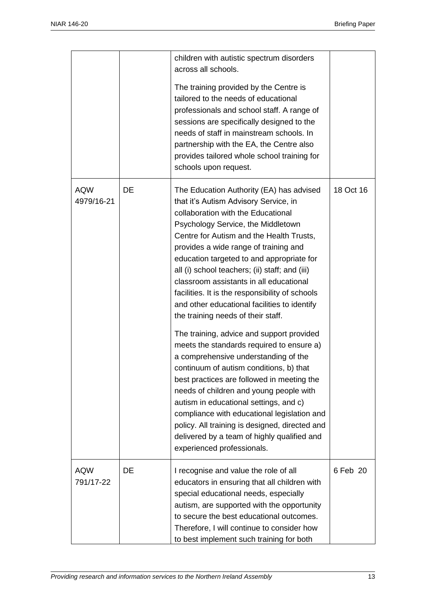|                          |    | children with autistic spectrum disorders<br>across all schools.<br>The training provided by the Centre is<br>tailored to the needs of educational<br>professionals and school staff. A range of<br>sessions are specifically designed to the<br>needs of staff in mainstream schools. In<br>partnership with the EA, the Centre also<br>provides tailored whole school training for<br>schools upon request.                                                                                                                                                                                                                                                                                                                                                                                                                                                                                                                                                                                                                       |           |
|--------------------------|----|-------------------------------------------------------------------------------------------------------------------------------------------------------------------------------------------------------------------------------------------------------------------------------------------------------------------------------------------------------------------------------------------------------------------------------------------------------------------------------------------------------------------------------------------------------------------------------------------------------------------------------------------------------------------------------------------------------------------------------------------------------------------------------------------------------------------------------------------------------------------------------------------------------------------------------------------------------------------------------------------------------------------------------------|-----------|
| <b>AQW</b><br>4979/16-21 | DE | The Education Authority (EA) has advised<br>that it's Autism Advisory Service, in<br>collaboration with the Educational<br>Psychology Service, the Middletown<br>Centre for Autism and the Health Trusts,<br>provides a wide range of training and<br>education targeted to and appropriate for<br>all (i) school teachers; (ii) staff; and (iii)<br>classroom assistants in all educational<br>facilities. It is the responsibility of schools<br>and other educational facilities to identify<br>the training needs of their staff.<br>The training, advice and support provided<br>meets the standards required to ensure a)<br>a comprehensive understanding of the<br>continuum of autism conditions, b) that<br>best practices are followed in meeting the<br>needs of children and young people with<br>autism in educational settings, and c)<br>compliance with educational legislation and<br>policy. All training is designed, directed and<br>delivered by a team of highly qualified and<br>experienced professionals. | 18 Oct 16 |
| <b>AQW</b><br>791/17-22  | DE | I recognise and value the role of all<br>educators in ensuring that all children with<br>special educational needs, especially<br>autism, are supported with the opportunity<br>to secure the best educational outcomes.<br>Therefore, I will continue to consider how<br>to best implement such training for both                                                                                                                                                                                                                                                                                                                                                                                                                                                                                                                                                                                                                                                                                                                  | 6 Feb 20  |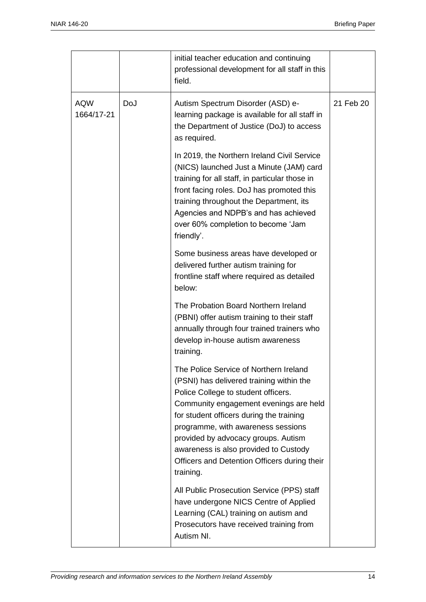|                          |     | initial teacher education and continuing<br>professional development for all staff in this<br>field.                                                                                                                                                                                                                                                                                               |           |
|--------------------------|-----|----------------------------------------------------------------------------------------------------------------------------------------------------------------------------------------------------------------------------------------------------------------------------------------------------------------------------------------------------------------------------------------------------|-----------|
| <b>AQW</b><br>1664/17-21 | DoJ | Autism Spectrum Disorder (ASD) e-<br>learning package is available for all staff in<br>the Department of Justice (DoJ) to access<br>as required.                                                                                                                                                                                                                                                   | 21 Feb 20 |
|                          |     | In 2019, the Northern Ireland Civil Service<br>(NICS) launched Just a Minute (JAM) card<br>training for all staff, in particular those in<br>front facing roles. DoJ has promoted this<br>training throughout the Department, its<br>Agencies and NDPB's and has achieved<br>over 60% completion to become 'Jam<br>friendly'.                                                                      |           |
|                          |     | Some business areas have developed or<br>delivered further autism training for<br>frontline staff where required as detailed<br>below:                                                                                                                                                                                                                                                             |           |
|                          |     | The Probation Board Northern Ireland<br>(PBNI) offer autism training to their staff<br>annually through four trained trainers who<br>develop in-house autism awareness<br>training.                                                                                                                                                                                                                |           |
|                          |     | The Police Service of Northern Ireland<br>(PSNI) has delivered training within the<br>Police College to student officers.<br>Community engagement evenings are held<br>for student officers during the training<br>programme, with awareness sessions<br>provided by advocacy groups. Autism<br>awareness is also provided to Custody<br>Officers and Detention Officers during their<br>training. |           |
|                          |     | All Public Prosecution Service (PPS) staff<br>have undergone NICS Centre of Applied<br>Learning (CAL) training on autism and<br>Prosecutors have received training from<br>Autism NI.                                                                                                                                                                                                              |           |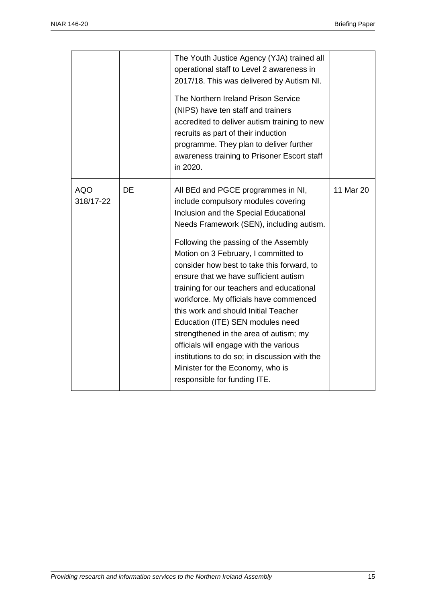|                         |    | The Youth Justice Agency (YJA) trained all<br>operational staff to Level 2 awareness in<br>2017/18. This was delivered by Autism NI.<br>The Northern Ireland Prison Service<br>(NIPS) have ten staff and trainers<br>accredited to deliver autism training to new<br>recruits as part of their induction<br>programme. They plan to deliver further<br>awareness training to Prisoner Escort staff<br>in 2020.                                                                                                                                                                                                                                                                                                     |           |
|-------------------------|----|--------------------------------------------------------------------------------------------------------------------------------------------------------------------------------------------------------------------------------------------------------------------------------------------------------------------------------------------------------------------------------------------------------------------------------------------------------------------------------------------------------------------------------------------------------------------------------------------------------------------------------------------------------------------------------------------------------------------|-----------|
| <b>AQO</b><br>318/17-22 | DE | All BEd and PGCE programmes in NI,<br>include compulsory modules covering<br>Inclusion and the Special Educational<br>Needs Framework (SEN), including autism.<br>Following the passing of the Assembly<br>Motion on 3 February, I committed to<br>consider how best to take this forward, to<br>ensure that we have sufficient autism<br>training for our teachers and educational<br>workforce. My officials have commenced<br>this work and should Initial Teacher<br>Education (ITE) SEN modules need<br>strengthened in the area of autism; my<br>officials will engage with the various<br>institutions to do so; in discussion with the<br>Minister for the Economy, who is<br>responsible for funding ITE. | 11 Mar 20 |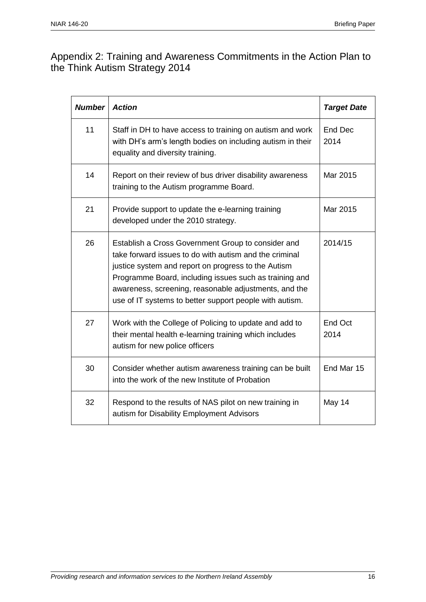## Appendix 2: Training and Awareness Commitments in the Action Plan to the Think Autism Strategy 2014

| <b>Number</b> | <b>Action</b>                                                                                                                                                                                                                                                                                                                                     | <b>Target Date</b> |
|---------------|---------------------------------------------------------------------------------------------------------------------------------------------------------------------------------------------------------------------------------------------------------------------------------------------------------------------------------------------------|--------------------|
| 11            | Staff in DH to have access to training on autism and work<br>with DH's arm's length bodies on including autism in their<br>equality and diversity training.                                                                                                                                                                                       | End Dec<br>2014    |
| 14            | Report on their review of bus driver disability awareness<br>training to the Autism programme Board.                                                                                                                                                                                                                                              | Mar 2015           |
| 21            | Provide support to update the e-learning training<br>developed under the 2010 strategy.                                                                                                                                                                                                                                                           | Mar 2015           |
| 26            | Establish a Cross Government Group to consider and<br>take forward issues to do with autism and the criminal<br>justice system and report on progress to the Autism<br>Programme Board, including issues such as training and<br>awareness, screening, reasonable adjustments, and the<br>use of IT systems to better support people with autism. | 2014/15            |
| 27            | Work with the College of Policing to update and add to<br>their mental health e-learning training which includes<br>autism for new police officers                                                                                                                                                                                                | End Oct<br>2014    |
| 30            | Consider whether autism awareness training can be built<br>into the work of the new Institute of Probation                                                                                                                                                                                                                                        | End Mar 15         |
| 32            | Respond to the results of NAS pilot on new training in<br>autism for Disability Employment Advisors                                                                                                                                                                                                                                               | May 14             |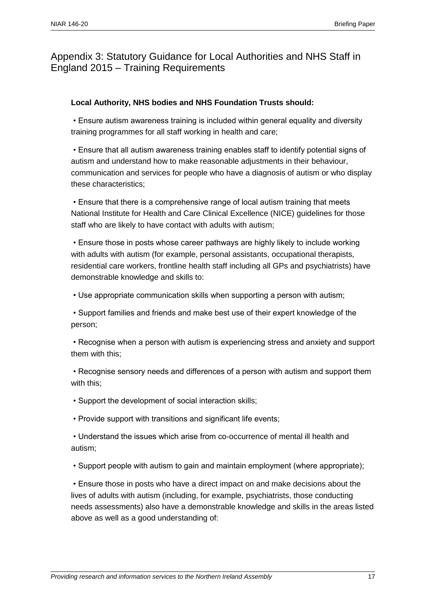## Appendix 3: Statutory Guidance for Local Authorities and NHS Staff in England 2015 – Training Requirements

#### **Local Authority, NHS bodies and NHS Foundation Trusts should:**

• Ensure autism awareness training is included within general equality and diversity training programmes for all staff working in health and care;

• Ensure that all autism awareness training enables staff to identify potential signs of autism and understand how to make reasonable adjustments in their behaviour, communication and services for people who have a diagnosis of autism or who display these characteristics;

• Ensure that there is a comprehensive range of local autism training that meets National Institute for Health and Care Clinical Excellence (NICE) guidelines for those staff who are likely to have contact with adults with autism;

• Ensure those in posts whose career pathways are highly likely to include working with adults with autism (for example, personal assistants, occupational therapists, residential care workers, frontline health staff including all GPs and psychiatrists) have demonstrable knowledge and skills to:

• Use appropriate communication skills when supporting a person with autism;

• Support families and friends and make best use of their expert knowledge of the person;

• Recognise when a person with autism is experiencing stress and anxiety and support them with this;

• Recognise sensory needs and differences of a person with autism and support them with this;

- Support the development of social interaction skills;
- Provide support with transitions and significant life events;

• Understand the issues which arise from co-occurrence of mental ill health and autism;

• Support people with autism to gain and maintain employment (where appropriate);

• Ensure those in posts who have a direct impact on and make decisions about the lives of adults with autism (including, for example, psychiatrists, those conducting needs assessments) also have a demonstrable knowledge and skills in the areas listed above as well as a good understanding of: